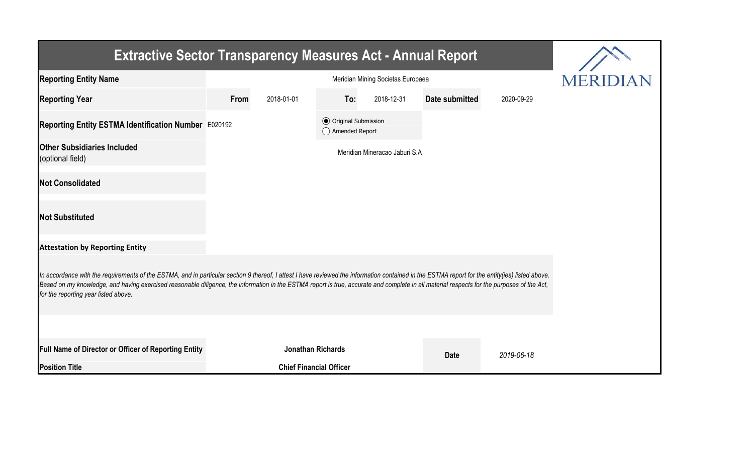| <b>Extractive Sector Transparency Measures Act - Annual Report</b>                                                                                                                                                                                                                                                                                                                                                                    |      |                                |                                                  |                               |                |            |  |  |  |  |
|---------------------------------------------------------------------------------------------------------------------------------------------------------------------------------------------------------------------------------------------------------------------------------------------------------------------------------------------------------------------------------------------------------------------------------------|------|--------------------------------|--------------------------------------------------|-------------------------------|----------------|------------|--|--|--|--|
| <b>Reporting Entity Name</b>                                                                                                                                                                                                                                                                                                                                                                                                          |      |                                | <b>MERIDI</b>                                    |                               |                |            |  |  |  |  |
| <b>Reporting Year</b>                                                                                                                                                                                                                                                                                                                                                                                                                 | From | 2018-01-01                     | To:                                              | 2018-12-31                    | Date submitted | 2020-09-29 |  |  |  |  |
| Reporting Entity ESTMA Identification Number E020192                                                                                                                                                                                                                                                                                                                                                                                  |      |                                | <b>⊙</b> Original Submission<br>◯ Amended Report |                               |                |            |  |  |  |  |
| <b>Other Subsidiaries Included</b><br>(optional field)                                                                                                                                                                                                                                                                                                                                                                                |      |                                |                                                  | Meridian Mineracao Jaburi S.A |                |            |  |  |  |  |
| <b>Not Consolidated</b>                                                                                                                                                                                                                                                                                                                                                                                                               |      |                                |                                                  |                               |                |            |  |  |  |  |
| <b>Not Substituted</b>                                                                                                                                                                                                                                                                                                                                                                                                                |      |                                |                                                  |                               |                |            |  |  |  |  |
| <b>Attestation by Reporting Entity</b>                                                                                                                                                                                                                                                                                                                                                                                                |      |                                |                                                  |                               |                |            |  |  |  |  |
| In accordance with the requirements of the ESTMA, and in particular section 9 thereof, I attest I have reviewed the information contained in the ESTMA report for the entity(ies) listed above.<br>Based on my knowledge, and having exercised reasonable diligence, the information in the ESTMA report is true, accurate and complete in all material respects for the purposes of the Act,<br>for the reporting year listed above. |      |                                |                                                  |                               |                |            |  |  |  |  |
|                                                                                                                                                                                                                                                                                                                                                                                                                                       |      |                                |                                                  |                               |                |            |  |  |  |  |
| <b>Full Name of Director or Officer of Reporting Entity</b>                                                                                                                                                                                                                                                                                                                                                                           |      | <b>Jonathan Richards</b>       |                                                  |                               | <b>Date</b>    | 2019-06-18 |  |  |  |  |
| <b>Position Title</b>                                                                                                                                                                                                                                                                                                                                                                                                                 |      | <b>Chief Financial Officer</b> |                                                  |                               |                |            |  |  |  |  |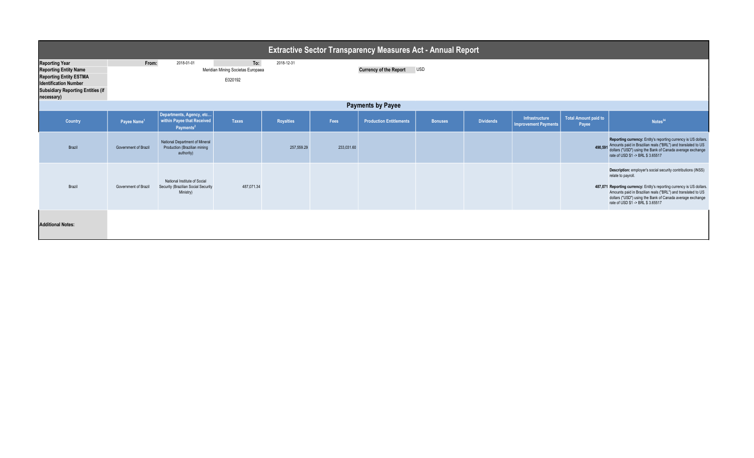| <b>Extractive Sector Transparency Measures Act - Annual Report</b>                                                                                                               |                         |                                                                                  |                                                                                                                  |                  |            |                                |                |                  |                                               |                                      |                                                                                                                                                                                                                                                                                                                                |
|----------------------------------------------------------------------------------------------------------------------------------------------------------------------------------|-------------------------|----------------------------------------------------------------------------------|------------------------------------------------------------------------------------------------------------------|------------------|------------|--------------------------------|----------------|------------------|-----------------------------------------------|--------------------------------------|--------------------------------------------------------------------------------------------------------------------------------------------------------------------------------------------------------------------------------------------------------------------------------------------------------------------------------|
| <b>Reporting Year</b><br><b>Reporting Entity Name</b><br><b>Reporting Entity ESTMA</b><br><b>Identification Number</b><br><b>Subsidiary Reporting Entities (if</b><br>necessary) | From:                   | 2018-01-01                                                                       | To:<br>2018-12-31<br>Meridian Mining Societas Europaea<br><b>USD</b><br><b>Currency of the Report</b><br>E020192 |                  |            |                                |                |                  |                                               |                                      |                                                                                                                                                                                                                                                                                                                                |
| <b>Payments by Payee</b>                                                                                                                                                         |                         |                                                                                  |                                                                                                                  |                  |            |                                |                |                  |                                               |                                      |                                                                                                                                                                                                                                                                                                                                |
| Country                                                                                                                                                                          | Payee Name <sup>1</sup> | Departments, Agency, etc<br>within Payee that Received<br>Payments <sup>2</sup>  | <b>Taxes</b>                                                                                                     | <b>Royalties</b> | Fees       | <b>Production Entitlements</b> | <b>Bonuses</b> | <b>Dividends</b> | Infrastructure<br><b>Improvement Payments</b> | <b>Total Amount paid to</b><br>Payee | Notes <sup>34</sup>                                                                                                                                                                                                                                                                                                            |
| Brazil                                                                                                                                                                           | Government of Brazil    | National Department of Mineral<br>Production (Brazilian mining<br>authority)     |                                                                                                                  | 257,559.29       | 233,031.60 |                                |                |                  |                                               |                                      | Reporting currency: Entity's reporting currency is US dollars.<br>490,591 Amounts paid in Brazilian reals ("BRL") and translated to US<br>dollars ("USD") using the Bank of Canada average exchange<br>rate of USD \$1 -> BRL \$ 3.65517                                                                                       |
| Brazil                                                                                                                                                                           | Government of Brazil    | National Institute of Social<br>Security (Brazilian Social Security<br>Ministry) | 487,071.34                                                                                                       |                  |            |                                |                |                  |                                               |                                      | Description: employer's social security contributions (INSS)<br>relate to payroll.<br>487,071 Reporting currency: Entity's reporting currency is US dollars.<br>Amounts paid in Brazilian reals ("BRL") and translated to US<br>dollars ("USD") using the Bank of Canada average exchange<br>rate of USD \$1 -> BRL \$ 3.65517 |
| <b>Additional Notes:</b>                                                                                                                                                         |                         |                                                                                  |                                                                                                                  |                  |            |                                |                |                  |                                               |                                      |                                                                                                                                                                                                                                                                                                                                |